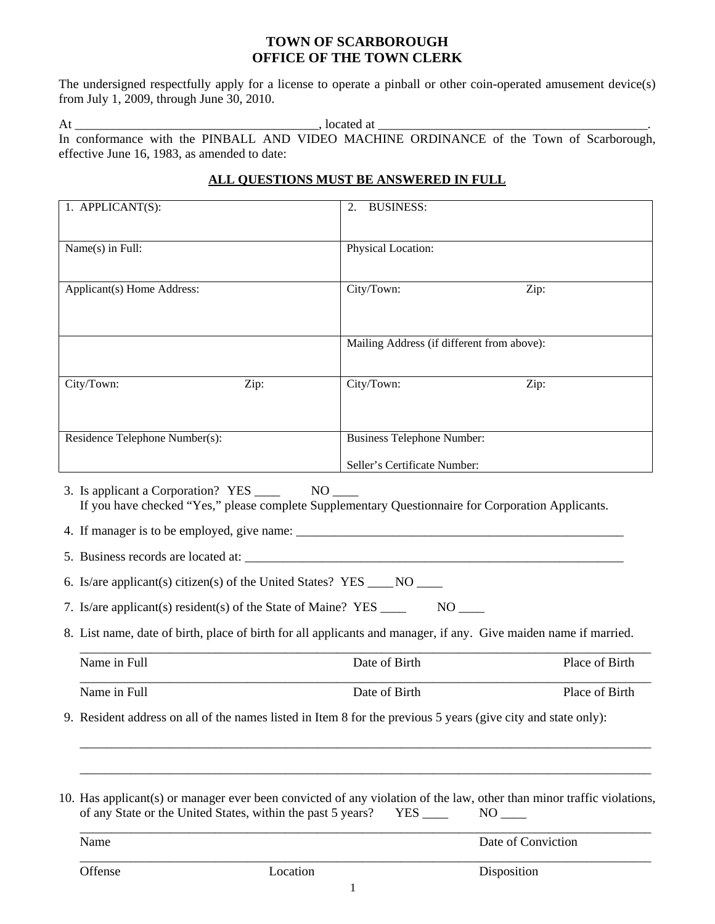### **TOWN OF SCARBOROUGH OFFICE OF THE TOWN CLERK**

The undersigned respectfully apply for a license to operate a pinball or other coin-operated amusement device(s) from July 1, 2009, through June 30, 2010.

At \_\_\_\_\_\_\_\_\_\_\_\_\_\_\_\_\_\_\_\_\_\_\_\_\_\_\_\_\_\_\_\_\_\_\_\_\_\_, located at \_\_\_\_\_\_\_\_\_\_\_\_\_\_\_\_\_\_\_\_\_\_\_\_\_\_\_\_\_\_\_\_\_\_\_\_\_\_\_\_\_\_. In conformance with the PINBALL AND VIDEO MACHINE ORDINANCE of the Town of Scarborough, effective June 16, 1983, as amended to date:

## **ALL QUESTIONS MUST BE ANSWERED IN FULL**

| 1. APPLICANT(S):                                                                                                                                                                |          | <b>BUSINESS:</b><br>2.            |                                                                                                                                                                                                                                        |  |
|---------------------------------------------------------------------------------------------------------------------------------------------------------------------------------|----------|-----------------------------------|----------------------------------------------------------------------------------------------------------------------------------------------------------------------------------------------------------------------------------------|--|
| Name(s) in Full:                                                                                                                                                                |          | Physical Location:                |                                                                                                                                                                                                                                        |  |
| Applicant(s) Home Address:                                                                                                                                                      |          | City/Town:                        | Zip:                                                                                                                                                                                                                                   |  |
|                                                                                                                                                                                 |          |                                   | Mailing Address (if different from above):                                                                                                                                                                                             |  |
| City/Town:                                                                                                                                                                      | Zip:     | City/Town:                        | Zip:                                                                                                                                                                                                                                   |  |
|                                                                                                                                                                                 |          |                                   |                                                                                                                                                                                                                                        |  |
| Residence Telephone Number(s):                                                                                                                                                  |          | <b>Business Telephone Number:</b> |                                                                                                                                                                                                                                        |  |
|                                                                                                                                                                                 |          | Seller's Certificate Number:      |                                                                                                                                                                                                                                        |  |
| 6. Is/are applicant(s) citizen(s) of the United States? $YES$ ____ NO ____<br>7. Is/are applicant(s) resident(s) of the State of Maine? YES ___________________<br>Name in Full |          | Date of Birth                     | 8. List name, date of birth, place of birth for all applicants and manager, if any. Give maiden name if married.<br>Place of Birth                                                                                                     |  |
| Name in Full                                                                                                                                                                    |          | Date of Birth                     | Place of Birth                                                                                                                                                                                                                         |  |
|                                                                                                                                                                                 |          |                                   | 9. Resident address on all of the names listed in Item 8 for the previous 5 years (give city and state only):<br>10. Has applicant(s) or manager ever been convicted of any violation of the law, other than minor traffic violations, |  |
| of any State or the United States, within the past 5 years?<br>Name                                                                                                             |          |                                   | $NO$ <sub>——</sub><br>Date of Conviction                                                                                                                                                                                               |  |
|                                                                                                                                                                                 |          |                                   |                                                                                                                                                                                                                                        |  |
| Offense                                                                                                                                                                         | Location | 1                                 | Disposition                                                                                                                                                                                                                            |  |